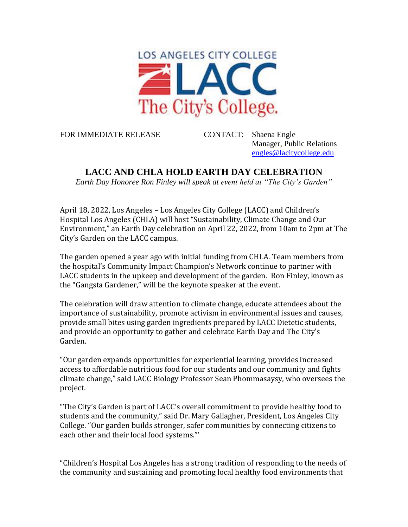

FOR IMMEDIATE RELEASE CONTACT: Shaena Engle

Manager, Public Relations [engles@lacitycollege.edu](mailto:engles@lacitycollege.edu)

## **LACC AND CHLA HOLD EARTH DAY CELEBRATION**

*Earth Day Honoree Ron Finley will speak at event held at "The City's Garden"*

April 18, 2022, Los Angeles – Los Angeles City College (LACC) and Children's Hospital Los Angeles (CHLA) will host "Sustainability, Climate Change and Our Environment," an Earth Day celebration on April 22, 2022, from 10am to 2pm at The City's Garden on the LACC campus.

The garden opened a year ago with initial funding from CHLA. Team members from the hospital's Community Impact Champion's Network continue to partner with LACC students in the upkeep and development of the garden. Ron Finley, known as the "Gangsta Gardener," will be the keynote speaker at the event.

The celebration will draw attention to climate change, educate attendees about the importance of sustainability, promote activism in environmental issues and causes, provide small bites using garden ingredients prepared by LACC Dietetic students, and provide an opportunity to gather and celebrate Earth Day and The City's Garden.

"Our garden expands opportunities for experiential learning, provides increased access to affordable nutritious food for our students and our community and fights climate change," said LACC Biology Professor Sean Phommasaysy, who oversees the project.

"The City's Garden is part of LACC's overall commitment to provide healthy food to students and the community," said Dr. Mary Gallagher, President, Los Angeles City College. "Our garden builds stronger, safer communities by connecting citizens to each other and their local food systems."'

"Children's Hospital Los Angeles has a strong tradition of responding to the needs of the community and sustaining and promoting local healthy food environments that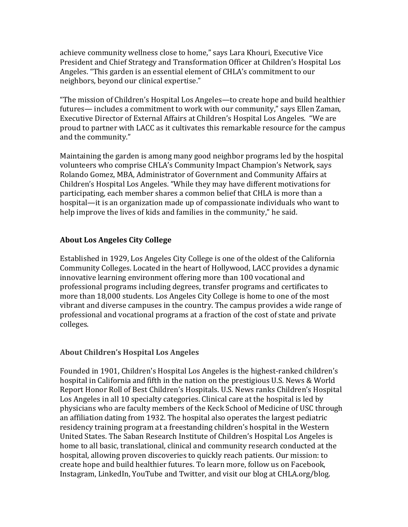achieve community wellness close to home," says Lara Khouri, Executive Vice President and Chief Strategy and Transformation Officer at Children's Hospital Los Angeles. "This garden is an essential element of CHLA's commitment to our neighbors, beyond our clinical expertise."

"The mission of Children's Hospital Los Angeles—to create hope and build healthier futures— includes a commitment to work with our community," says Ellen Zaman, Executive Director of External Affairs at Children's Hospital Los Angeles. "We are proud to partner with LACC as it cultivates this remarkable resource for the campus and the community."

Maintaining the garden is among many good neighbor programs led by the hospital volunteers who comprise CHLA's Community Impact Champion's Network, says Rolando Gomez, MBA, Administrator of Government and Community Affairs at Children's Hospital Los Angeles. "While they may have different motivations for participating, each member shares a common belief that CHLA is more than a hospital—it is an organization made up of compassionate individuals who want to help improve the lives of kids and families in the community," he said.

## **About Los Angeles City College**

Established in 1929, Los Angeles City College is one of the oldest of the California Community Colleges. Located in the heart of Hollywood, LACC provides a dynamic innovative learning environment offering more than 100 vocational and professional programs including degrees, transfer programs and certificates to more than 18,000 students. Los Angeles City College is home to one of the most vibrant and diverse campuses in the country. The campus provides a wide range of professional and vocational programs at a fraction of the cost of state and private colleges.

## **About Children's Hospital Los Angeles**

Founded in 1901, Children's Hospital Los Angeles is the highest-ranked children's hospital in California and fifth in the nation on the prestigious U.S. News & World Report Honor Roll of Best Children's Hospitals. U.S. News ranks Children's Hospital Los Angeles in all 10 specialty categories. Clinical care at the hospital is led by physicians who are faculty members of the Keck School of Medicine of USC through an affiliation dating from 1932. The hospital also operates the largest pediatric residency training program at a freestanding children's hospital in the Western United States. The Saban Research Institute of Children's Hospital Los Angeles is home to all basic, translational, clinical and community research conducted at the hospital, allowing proven discoveries to quickly reach patients. Our mission: to create hope and build healthier futures. To learn more, follow us on Facebook, Instagram, LinkedIn, YouTube and Twitter, and visit our blog at CHLA.org/blog.